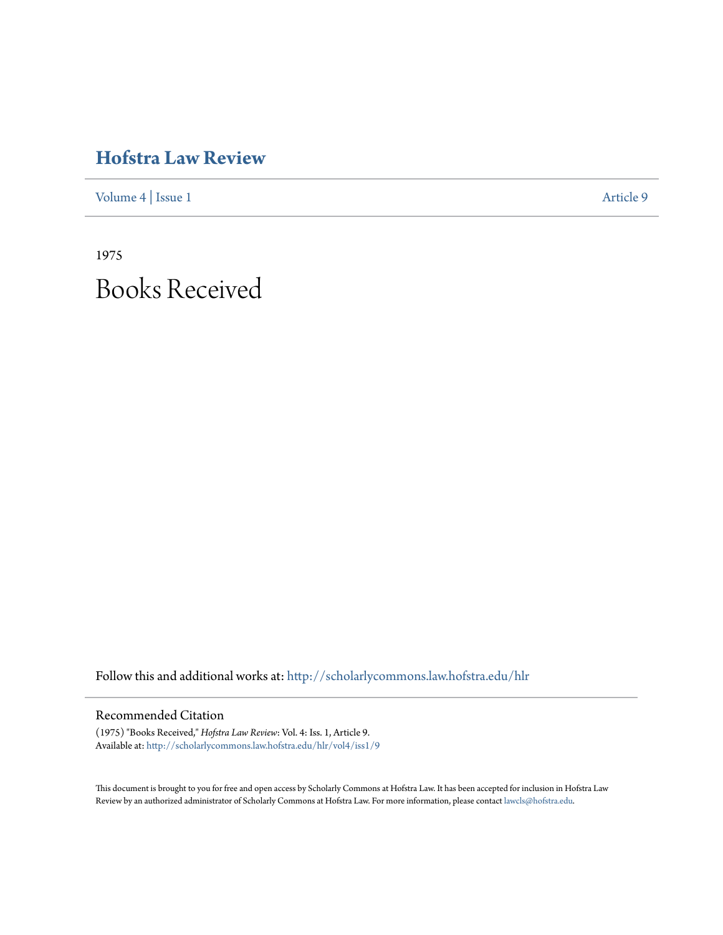# **[Hofstra Law Review](http://scholarlycommons.law.hofstra.edu/hlr?utm_source=scholarlycommons.law.hofstra.edu%2Fhlr%2Fvol4%2Fiss1%2F9&utm_medium=PDF&utm_campaign=PDFCoverPages)**

[Volume 4](http://scholarlycommons.law.hofstra.edu/hlr/vol4?utm_source=scholarlycommons.law.hofstra.edu%2Fhlr%2Fvol4%2Fiss1%2F9&utm_medium=PDF&utm_campaign=PDFCoverPages) | [Issue 1](http://scholarlycommons.law.hofstra.edu/hlr/vol4/iss1?utm_source=scholarlycommons.law.hofstra.edu%2Fhlr%2Fvol4%2Fiss1%2F9&utm_medium=PDF&utm_campaign=PDFCoverPages) [Article 9](http://scholarlycommons.law.hofstra.edu/hlr/vol4/iss1/9?utm_source=scholarlycommons.law.hofstra.edu%2Fhlr%2Fvol4%2Fiss1%2F9&utm_medium=PDF&utm_campaign=PDFCoverPages)

1975 Books Received

Follow this and additional works at: [http://scholarlycommons.law.hofstra.edu/hlr](http://scholarlycommons.law.hofstra.edu/hlr?utm_source=scholarlycommons.law.hofstra.edu%2Fhlr%2Fvol4%2Fiss1%2F9&utm_medium=PDF&utm_campaign=PDFCoverPages)

# Recommended Citation

(1975) "Books Received," *Hofstra Law Review*: Vol. 4: Iss. 1, Article 9. Available at: [http://scholarlycommons.law.hofstra.edu/hlr/vol4/iss1/9](http://scholarlycommons.law.hofstra.edu/hlr/vol4/iss1/9?utm_source=scholarlycommons.law.hofstra.edu%2Fhlr%2Fvol4%2Fiss1%2F9&utm_medium=PDF&utm_campaign=PDFCoverPages)

This document is brought to you for free and open access by Scholarly Commons at Hofstra Law. It has been accepted for inclusion in Hofstra Law Review by an authorized administrator of Scholarly Commons at Hofstra Law. For more information, please contact [lawcls@hofstra.edu](mailto:lawcls@hofstra.edu).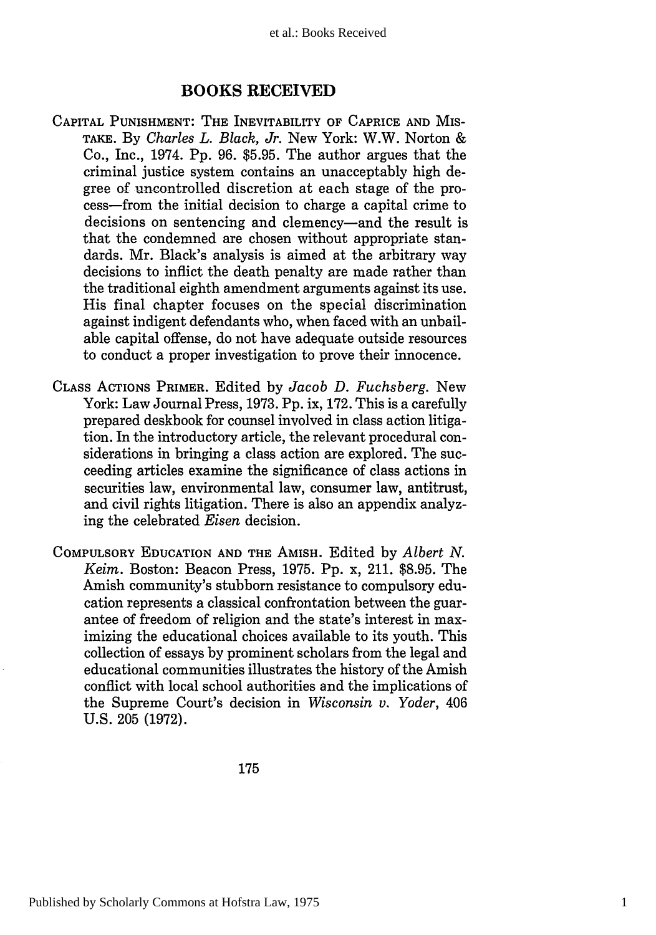## **BOOKS RECEIVED**

- CAPITAL PUNISHMENT: THE INEVITABILITY OF CAPRICE **AND** MIS-TAKE. **By** *Charles L. Black, Jr.* New York: W.W. Norton & Co., Inc., 1974. **Pp. 96. \$5.95.** The author argues that the criminal justice system contains an unacceptably high degree of uncontrolled discretion at each stage of the process-from the initial decision to charge a capital crime to decisions on sentencing and clemency-and the result is that the condemned are chosen without appropriate standards. Mr. Black's analysis is aimed at the arbitrary way decisions to inflict the death penalty are made rather than the traditional eighth amendment arguments against its use. His final chapter focuses on the special discrimination against indigent defendants who, when faced with an unbailable capital offense, do not have adequate outside resources to conduct a proper investigation to prove their innocence.
- CLASS ACTIONS PRIMER. Edited by *Jacob D. Fuchsberg.* New York: Law Journal Press, 1973. Pp. ix, 172. This is a carefully prepared deskbook for counsel involved in class action litigation. In the introductory article, the relevant procedural considerations in bringing a class action are explored. The succeeding articles examine the significance of class actions in securities law, environmental law, consumer law, antitrust, and civil rights litigation. There is also an appendix analyzing the celebrated *Eisen* decision.
- COMPULSORY EDUCATION AND THE AMISH. Edited by *Albert N. Keim.* Boston: Beacon Press, 1975. Pp. x, 211. \$8.95. The Amish community's stubborn resistance to compulsory education represents a classical confrontation between the guarantee of freedom of religion and the state's interest in maximizing the educational choices available to its youth. This collection of essays by prominent scholars from the legal and educational communities illustrates the history of the Amish conflict with local school authorities and the implications of the Supreme Court's decision in *Wisconsin v. Yoder,* 406 U.S. **205** (1972).

175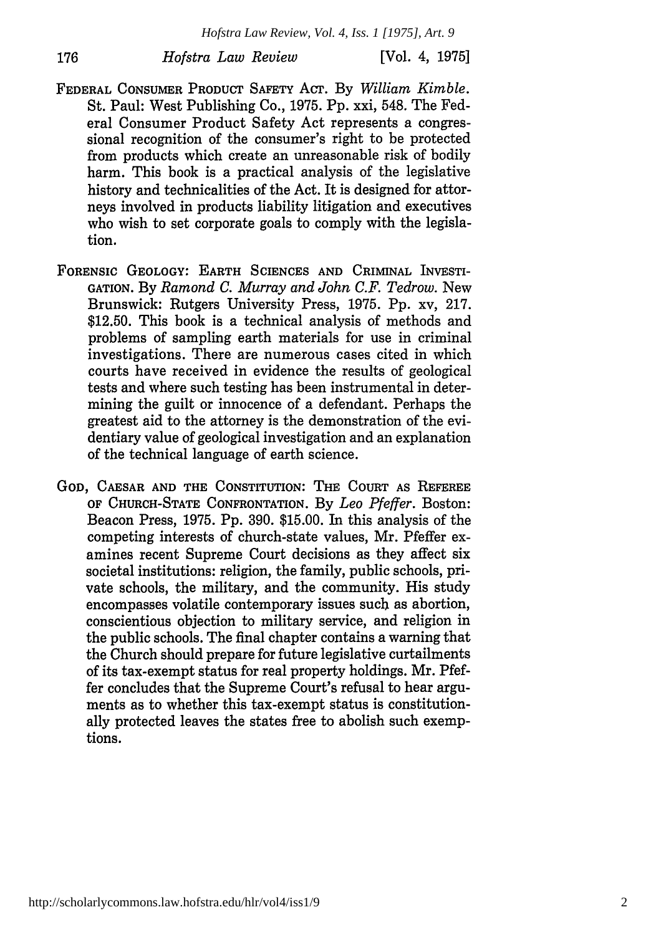*Hofstra Law Review, Vol. 4, Iss. 1 [1975], Art. 9*

*Hofstra Law Review*

176

- FEDERAL CONSUMER PRODUCT SAFETY ACT. By *William Kimble.* St. Paul: West Publishing Co., 1975. Pp. xxi, 548. The Federal Consumer Product Safety Act represents a congressional recognition of the consumer's right to be protected from products which create an unreasonable risk of bodily harm. This book is a practical analysis of the legislative history and technicalities of the Act. It is designed for attorneys involved in products liability litigation and executives who wish to set corporate goals to comply with the legislation.
- FORENSIC GEOLOGY: EARTH **SCIENCES AND CRIMINAL** INVESTI-**GATION.** By *Ramond C. Murray and John C.F. Tedrow.* New Brunswick: Rutgers University Press, 1975. **Pp.** xv, 217. \$12.50. This book is a technical analysis of methods and problems of sampling earth materials for use in criminal investigations. There are numerous cases cited in which courts have received in evidence the results of geological tests and where such testing has been instrumental in determining the guilt or innocence of a defendant. Perhaps the greatest aid to the attorney is the demonstration of the evidentiary value of geological investigation and an explanation of the technical language of earth science.
- **GOD, CAESAR AND THE CONSTITUTION:** THE COURT AS REFEREE OF **CHURCH-STATE CONFRONTATION.** By *Leo Pfeffer.* Boston: Beacon Press, 1975. Pp. 390. \$15.00. In this analysis of the competing interests of church-state values, Mr. Pfeffer examines recent Supreme Court decisions as they affect six societal institutions: religion, the family, public schools, private schools, the military, and the community. His study encompasses volatile contemporary issues such as abortion, conscientious objection to military service, and religion in the public schools. The final chapter contains a warning that the Church should prepare for future legislative curtailments of its tax-exempt status for real property holdings. Mr. Pfeffer concludes that the Supreme Court's refusal to hear arguments as to whether this tax-exempt status is constitutionally protected leaves the states free to abolish such exemptions.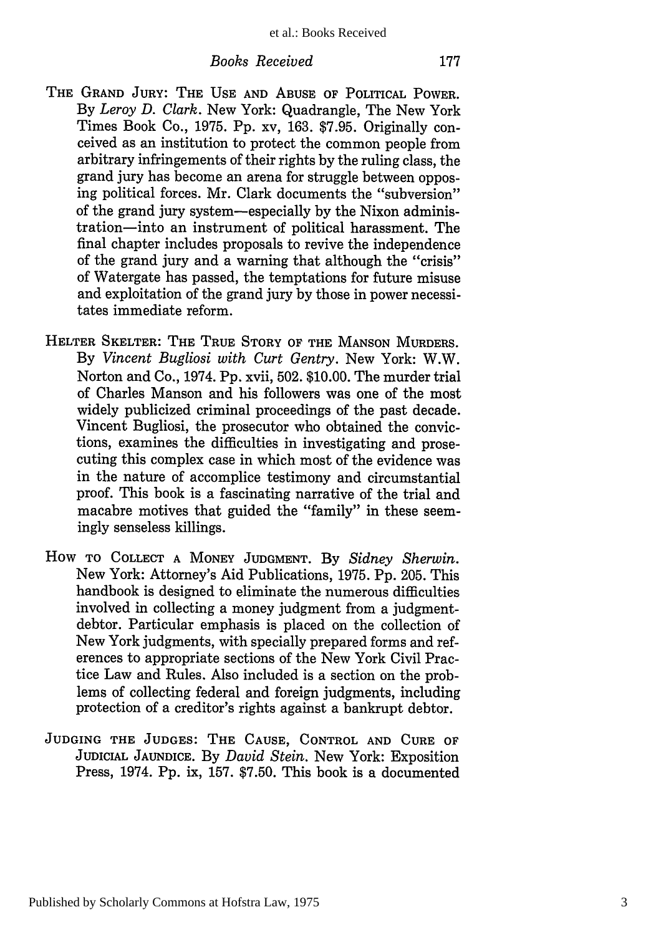#### *Books Received*

- THE **GRAND JURY:** THE **USE AND ABUSE** OF POLITICAL POWER. By *Leroy D. Clark.* New York: Quadrangle, The New York Times Book Co., 1975. Pp. xv, 163. \$7.95. Originally conceived as an institution to protect the common people from arbitrary infringements of their rights by the ruling class, the grand jury has become an arena for struggle between opposing political forces. Mr. Clark documents the "subversion" of the grand jury system-especially by the Nixon administration-into an instrument of political harassment. The final chapter includes proposals to revive the independence of the grand jury and a warning that although the "crisis" of Watergate has passed, the temptations for future misuse and exploitation of the grand jury by those in power necessitates immediate reform.
- HELTER SKELTER: THE TRUE STORY OF **THE MANSON** MURDERS. By *Vincent Bugliosi with Curt Gentry.* New York: W.W. Norton and Co., 1974. Pp. xvii, 502. \$10.00. The murder trial of Charles Manson and his followers was one of the most widely publicized criminal proceedings of the past decade. Vincent Bugliosi, the prosecutor who obtained the convictions, examines the difficulties in investigating and prosecuting this complex case in which most of the evidence was in the nature of accomplice testimony and circumstantial proof. This book is a fascinating narrative of the trial and macabre motives that guided the "family" in these seemingly senseless killings.
- How TO **COLLECT A** MONEY **JUDGMENT.** By *Sidney Sherwin.* New York: Attorney's Aid Publications, 1975. Pp. 205. This handbook is designed to eliminate the numerous difficulties involved in collecting a money judgment from a judgmentdebtor. Particular emphasis is placed on the collection of New York judgments, with specially prepared forms and references to appropriate sections of the New York Civil Practice Law and Rules. Also included is a section on the problems of collecting federal and foreign judgments, including protection of a creditor's rights against a bankrupt debtor.
- **JUDGING THE JUDGES: THE CAUSE,** CONTROL **AND CURE** OF JUDICIAL **JAUNDICE.** By *David Stein.* New York: Exposition Press, 1974. Pp. ix, 157. \$7.50. This book is a documented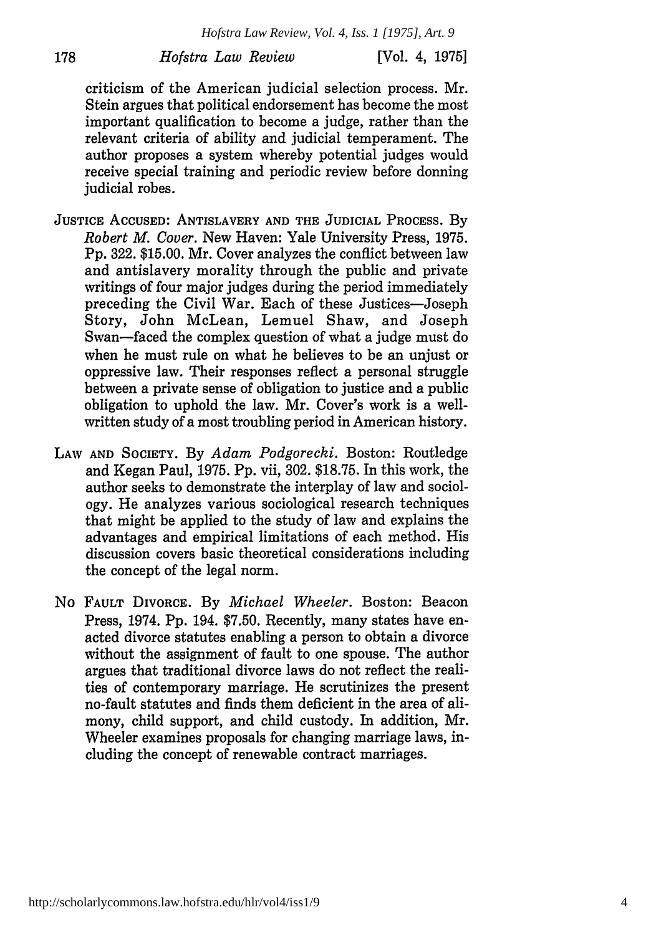*Hofstra Law Review, Vol. 4, Iss. 1 [1975], Art. 9*

## *Hofstra Law Review*

178

[Vol. 4, **1975]**

criticism of the American judicial selection process. Mr. Stein argues that political endorsement has become the most important qualification to become a judge, rather than the relevant criteria of ability and judicial temperament. The author proposes a system whereby potential judges would receive special training and periodic review before donning judicial robes.

- **JUSTICE ACCUSED:** ANTISLAVERY **AND THE JUDICIAL PROCESS.** By *Robert M. Cover.* New Haven: Yale University Press, 1975. Pp. 322. \$15.00. Mr. Cover analyzes the conflict between law and antislavery morality through the public and private writings of four major judges during the period immediately preceding the Civil War. Each of these Justices-Joseph Story, John McLean, Lemuel Shaw, and Joseph Swan-faced the complex question of what a judge must do when he must rule on what he believes to be an unjust or oppressive law. Their responses reflect a personal struggle between a private sense of obligation to justice and a public obligation to uphold the law. Mr. Cover's work is a wellwritten study of a most troubling period in American history.
- LAW **AND SOCIETY.** By *Adam Podgorecki.* Boston: Routledge and Kegan Paul, 1975. Pp. vii, 302. \$18.75. In this work, the author seeks to demonstrate the interplay of law and sociology. He analyzes various sociological research techniques that might be applied to the study of law and explains the advantages and empirical limitations of each method. His discussion covers basic theoretical considerations including the concept of the legal norm.
- No **FAULT** DIVORCE. By *Michael Wheeler.* Boston: Beacon Press, 1974. Pp. 194. \$7.50. Recently, many states have enacted divorce statutes enabling a person to obtain a divorce without the assignment of fault to one spouse. The author argues that traditional divorce laws do not reflect the realities of contemporary marriage. He scrutinizes the present no-fault statutes and finds them deficient in the area of alimony, child support, and child custody. In addition, Mr. Wheeler examines proposals for changing marriage laws, including the concept of renewable contract marriages.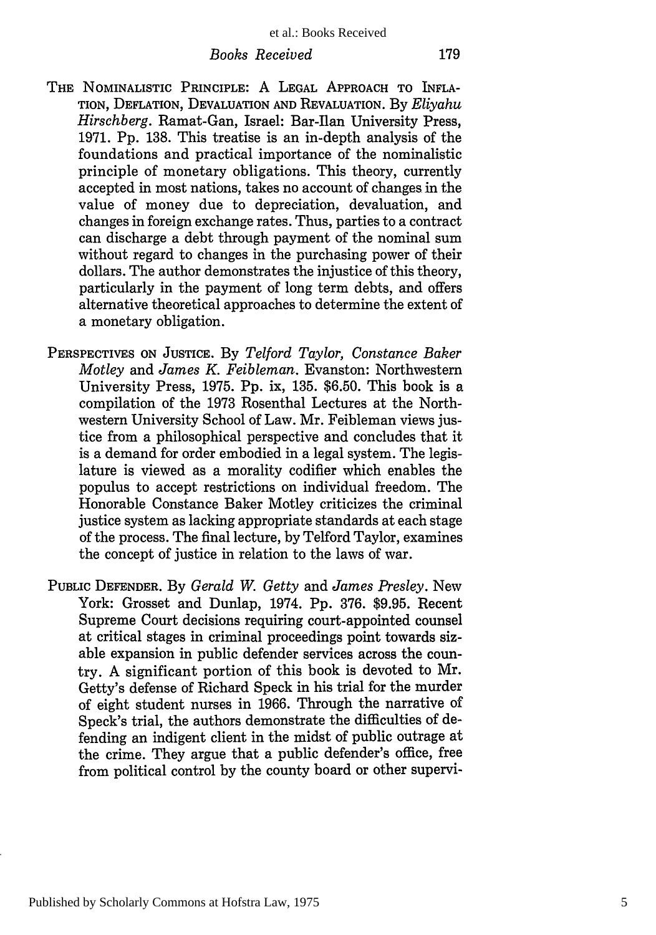### *Books Received*

- THE NOMINALISTIC PRINCIPLE: A LEGAL APPROACH TO INFLA-TION, DEFLATION, DEVALUATION AND REVALUATION. By *Eliyahu Hirschberg. Ramat-Gan. Israel: Bar-Ilan University Press.* 1971. Pp. 138. This treatise is an in-depth analysis of the foundations and practical importance of the nominalistic principle of monetary obligations. This theory, currently accepted in most nations, takes no account of changes in the value of money due to depreciation, devaluation, and changes in foreign exchange rates. Thus, parties to a contract can discharge a debt through payment of the nominal sum without regard to changes in the purchasing power of their dollars. The author demonstrates the injustice of this theory, particularly in the payment of long term debts, and offers alternative theoretical approaches to determine the extent of a monetary obligation.
- PERSPECTIVES ON JUSTICE. By *Telford Taylor, Constance Baker Motley and James K. Feibleman.* Evanston: Northwestern University Press, 1975. Pp. ix, 135. \$6.50. This book is a compilation of the 1973 Rosenthal Lectures at the Northwestern University School of Law. Mr. Feibleman views justice from a philosophical perspective and concludes that it is a demand for order embodied in a legal system. The legislature is viewed as a morality codifier which enables the populus to accept restrictions on individual freedom. The Honorable Constance Baker Motley criticizes the criminal justice system as lacking appropriate standards at each stage of the process. The final lecture, by Telford Taylor, examines the concept of justice in relation to the laws of war.
- PUBLIC DEFENDER. By *Gerald W. Getty* and *James Presley.* New York: Grosset and Dunlap, 1974. Pp. 376. \$9.95. Recent Supreme Court decisions requiring court-appointed counsel at critical stages in criminal proceedings point towards sizable expansion in public defender services across the country. A significant portion of this book is devoted to Mr. Getty's defense of Richard Speck in his trial for the murder of eight student nurses in 1966. Through the narrative of Speck's trial, the authors demonstrate the difficulties of defending an indigent client in the midst of public outrage at the crime. They argue that a public defender's office, free from political control by the county board or other supervi-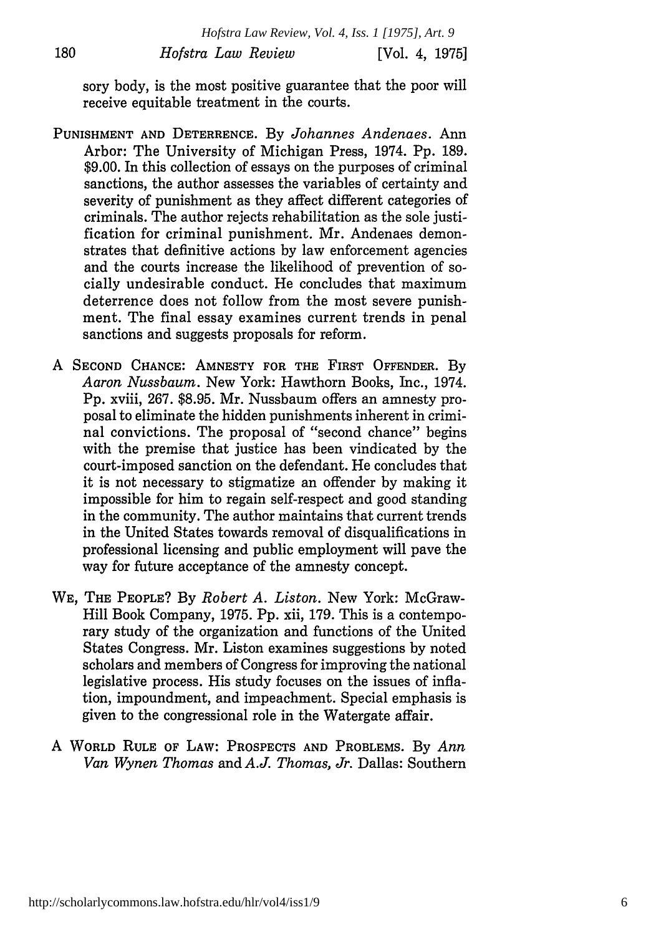sory body, is the most positive guarantee that the poor will receive equitable treatment in the courts.

- **PUNISHMENT AND** DETERRENCE. By *Johannes Andenaes.* Ann Arbor: The University of Michigan Press, 1974. Pp. 189. \$9.00. In this collection of essays on the purposes of criminal sanctions, the author assesses the variables of certainty and severity of punishment as they affect different categories of criminals. The author rejects rehabilitation as the sole justification for criminal punishment. Mr. Andenaes demonstrates that definitive actions by law enforcement agencies and the courts increase the likelihood of prevention of socially undesirable conduct. He concludes that maximum deterrence does not follow from the most severe punishment. The final essay examines current trends in penal sanctions and suggests proposals for reform.
- A **SECOND CHANCE: AMNESTY** FOR THE FIRST OFFENDER. By *Aaron Nussbaum.* New York: Hawthorn Books, Inc., 1974. Pp. xviii, 267. \$8.95. Mr. Nussbaum offers an amnesty proposal to eliminate the hidden punishments inherent in criminal convictions. The proposal of "second chance" begins with the premise that justice has been vindicated by the court-imposed sanction on the defendant. He concludes that it is not necessary to stigmatize an offender by making it impossible for him to regain self-respect and good standing in the community. The author maintains that current trends in the United States towards removal of disqualifications in professional licensing and public employment will pave the way for future acceptance of the amnesty concept.
- WE, THE PEOPLE? By *Robert A. Liston.* New York: McGraw-Hill Book Company, 1975. Pp. xii, 179. This is a contemporary study of the organization and functions of the United States Congress. Mr. Liston examines suggestions by noted scholars and members of Congress for improving the national legislative process. His study focuses on the issues of inflation, impoundment, and impeachment. Special emphasis is given to the congressional role in the Watergate affair.
- A WORLD RULE OF LAW: PROSPECTS **AND** PROBLEMS. By *Ann Van Wynen Thomas and A.J. Thomas, Jr.* Dallas: Southern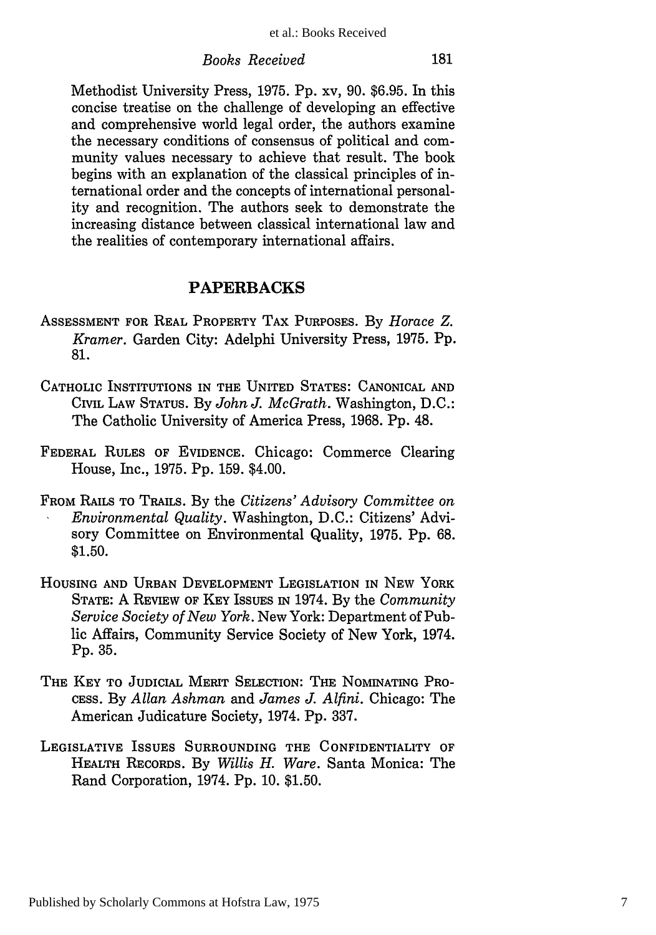#### *Books Received*

Methodist University Press, 1975. Pp. xv, 90. \$6.95. In this concise treatise on the challenge of developing an effective and comprehensive world legal order, the authors examine the necessary conditions of consensus of political and community values necessary to achieve that result. The book begins with an explanation of the classical principles of international order and the concepts of international personality and recognition. The authors seek to demonstrate the increasing distance between classical international law and the realities of contemporary international affairs.

## **PAPERBACKS**

- ASSESSMENT FOR REAL PROPERTY TAX PURPOSES. By *Horace Z. Kramer.* Garden City: Adelphi University Press, 1975. Pp. 81.
- CATHOLIC INSTITUTIONS IN THE UNITED STATES: CANONICAL AND CIVIL LAW STATUS. By *John J. McGrath.* Washington, D.C.: The Catholic University of America Press, 1968. Pp. 48.
- FEDERAL RULES OF EVIDENCE. Chicago: Commerce Clearing House, Inc., 1975. Pp. 159. \$4.00.
- FROM RAILS TO TRAILS. By the *Citizens' Advisory Committee on Environmental Quality.* Washington, D.C.: Citizens' Advisory Committee on Environmental Quality, 1975. Pp. 68. \$1.50.
- HOUSING **AND** URBAN DEVELOPMENT LEGISLATION IN NEW YORK STATE: A REVIEW OF KEY ISSUES **IN** 1974. By the *Community Service Society of New York.* New York: Department of Public Affairs, Community Service Society of New York, 1974. Pp. 35.
- THE KEY TO **JUDICIAL** MERIT SELECTION: THE NOMINATING PRO-CESS. By *Allan Ashman* and *James J. Alfini.* Chicago: The American Judicature Society, 1974. **Pp.** 337.
- LEGISLATIVE ISSUES SURROUNDING THE CONFIDENTIALITY OF HEALTH RECORDS. By *Willis H. Ware.* Santa Monica: The Rand Corporation, 1974. **Pp.** 10. \$1.50.